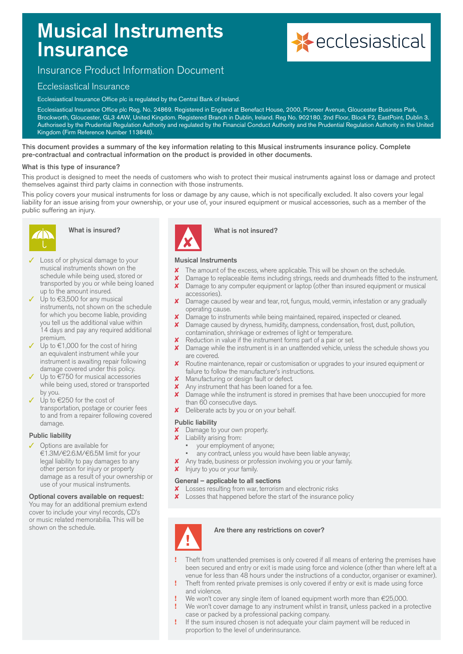# Musical Instruments **Insurance**



# Insurance Product Information Document

# Ecclesiastical Insurance

Ecclesiastical Insurance Office plc is regulated by the Central Bank of Ireland.

Ecclesiastical Insurance Office plc Reg. No. 24869. Registered in England at Benefact House, 2000, Pioneer Avenue, Gloucester Business Park, Brockworth, Gloucester, GL3 4AW, United Kingdom. Registered Branch in Dublin, Ireland. Reg No. 902180. 2nd Floor, Block F2, EastPoint, Dublin 3. Authorised by the Prudential Regulation Authority and regulated by the Financial Conduct Authority and the Prudential Regulation Authority in the United Kingdom (Firm Reference Number 113848).

This document provides a summary of the key information relating to this Musical instruments insurance policy. Complete pre-contractual and contractual information on the product is provided in other documents.

#### What is this type of insurance?

This product is designed to meet the needs of customers who wish to protect their musical instruments against loss or damage and protect themselves against third party claims in connection with those instruments.

This policy covers your musical instruments for loss or damage by any cause, which is not specifically excluded. It also covers your legal liability for an issue arising from your ownership, or your use of, your insured equipment or musical accessories, such as a member of the public suffering an injury.



# What is insured?

- Loss of or physical damage to your musical instruments shown on the schedule while being used, stored or transported by you or while being loaned up to the amount insured.
- $\checkmark$  Up to  $\in$ 3,500 for any musical instruments, not shown on the schedule for which you become liable, providing you tell us the additional value within 14 days and pay any required additional premium.
- Up to  $€1,000$  for the cost of hiring an equivalent instrument while your instrument is awaiting repair following damage covered under this policy.
- Up to  $\epsilon$ 750 for musical accessories while being used, stored or transported by you.
- Up to  $\epsilon$ 250 for the cost of transportation, postage or courier fees to and from a repairer following covered damage.

#### Public liability

### Options are available for

€1.3M/€2.6.M/€6.5M limit for your legal liability to pay damages to any other person for injury or property damage as a result of your ownership or use of your musical instruments.

#### Optional covers available on request:

You may for an additional premium extend cover to include your vinyl records, CD's or music related memorabilia. This will be shown on the schedule.



#### What is not insured?

# Musical Instruments

- The amount of the excess, where applicable. This will be shown on the schedule.
- **X** Damage to replaceable items including strings, reeds and drumheads fitted to the instrument. **X** Damage to any computer equipment or laptop (other than insured equipment or musical
- accessories).
- Damage caused by wear and tear, rot, fungus, mould, vermin, infestation or any gradually operating cause.
- X Damage to instruments while being maintained, repaired, inspected or cleaned.
	- Damage caused by dryness, humidity, dampness, condensation, frost, dust, pollution, contamination, shrinkage or extremes of light or temperature.
- **X** Reduction in value if the instrument forms part of a pair or set.
- **X** Damage while the instrument is in an unattended vehicle, unless the schedule shows you are covered.
- 8 Routine maintenance, repair or customisation or upgrades to your insured equipment or failure to follow the manufacturer's instructions.
- **X** Manufacturing or design fault or defect.
- **X** Any instrument that has been loaned for a fee.
- Damage while the instrument is stored in premises that have been unoccupied for more than 60 consecutive days.
- **X** Deliberate acts by you or on your behalf.

#### Public liability

- $\boldsymbol{\mathsf{X}}$  Damage to your own property.<br> $\boldsymbol{\mathsf{X}}$  Liability arising from:
- Liability arising from:
	- your employment of anyone;
	- any contract, unless you would have been liable anyway;
- **X** Any trade, business or profession involving you or your family.
- Injury to you or your family.

#### General – applicable to all sections

- **X** Losses resulting from war, terrorism and electronic risks
- **X** Losses that happened before the start of the insurance policy



#### Are there any restrictions on cover?

- **!** Theft from unattended premises is only covered if all means of entering the premises have been secured and entry or exit is made using force and violence (other than where left at a venue for less than 48 hours under the instructions of a conductor, organiser or examiner).
- **!** Theft from rented private premises is only covered if entry or exit is made using force and violence.
- **!** We won't cover any single item of loaned equipment worth more than €25,000.
- **!** We won't cover damage to any instrument whilst in transit, unless packed in a protective case or packed by a professional packing company.
- **!** If the sum insured chosen is not adequate your claim payment will be reduced in proportion to the level of underinsurance.